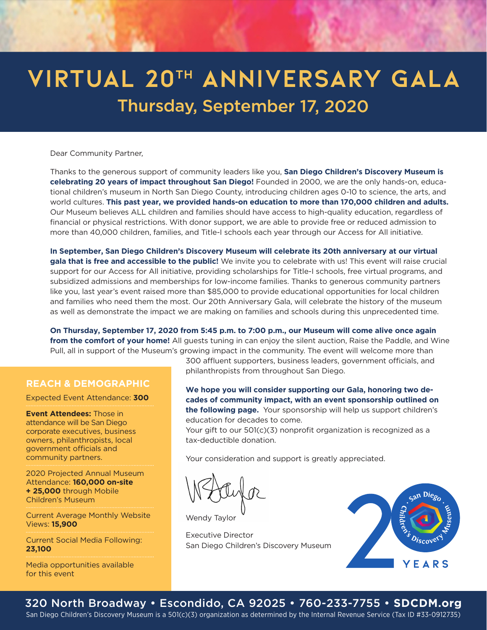## VIRTUAL 20TH ANNIVERSARY GALA Thursday, September 17, 2020

Dear Community Partner,

Thanks to the generous support of community leaders like you, **San Diego Children's Discovery Museum is celebrating 20 years of impact throughout San Diego!** Founded in 2000, we are the only hands-on, educational children's museum in North San Diego County, introducing children ages 0-10 to science, the arts, and world cultures. **This past year, we provided hands-on education to more than 170,000 children and adults.** Our Museum believes ALL children and families should have access to high-quality education, regardless of financial or physical restrictions. With donor support, we are able to provide free or reduced admission to more than 40,000 children, families, and Title-I schools each year through our Access for All initiative.

**In September, San Diego Children's Discovery Museum will celebrate its 20th anniversary at our virtual gala that is free and accessible to the public!** We invite you to celebrate with us! This event will raise crucial support for our Access for All initiative, providing scholarships for Title-I schools, free virtual programs, and subsidized admissions and memberships for low-income families. Thanks to generous community partners like you, last year's event raised more than \$85,000 to provide educational opportunities for local children and families who need them the most. Our 20th Anniversary Gala, will celebrate the history of the museum as well as demonstrate the impact we are making on families and schools during this unprecedented time.

**On Thursday, September 17, 2020 from 5:45 p.m. to 7:00 p.m., our Museum will come alive once again from the comfort of your home!** All guests tuning in can enjoy the silent auction, Raise the Paddle, and Wine Pull, all in support of the Museum's growing impact in the community. The event will welcome more than

## **REACH & DEMOGRAPHIC**

Expected Event Attendance: **300**

**Event Attendees:** Those in attendance will be San Diego corporate executives, business owners, philanthropists, local government officials and community partners.

2020 Projected Annual Museum Attendance: **160,000 on-site + 25,000** through Mobile Children's Museum

Current Average Monthly Website Views: **15,900** 

Current Social Media Following: **23,100**

Media opportunities available for this event

300 affluent supporters, business leaders, government officials, and philanthropists from throughout San Diego.

**We hope you will consider supporting our Gala, honoring two decades of community impact, with an event sponsorship outlined on the following page.** Your sponsorship will help us support children's education for decades to come.

Your gift to our 501(c)(3) nonprofit organization is recognized as a tax-deductible donation.

Your consideration and support is greatly appreciated.

Wendy Taylor

Executive Director San Diego Children's Discovery Museum



## 320 North Broadway • Escondido, CA 92025 • 760-233-7755 • **SDCDM.org**

San Diego Children's Discovery Museum is a 501(c)(3) organization as determined by the Internal Revenue Service (Tax ID #33-0912735)